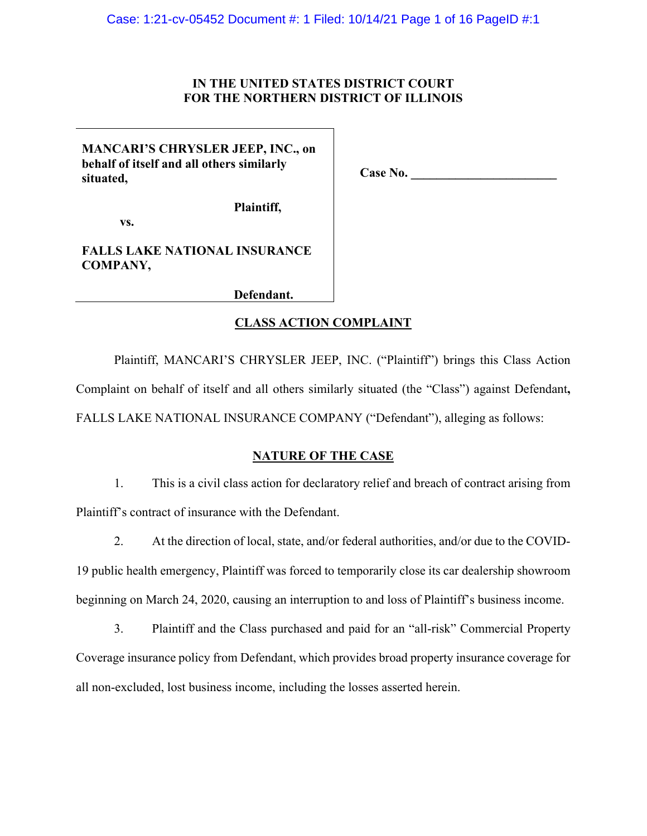### **IN THE UNITED STATES DISTRICT COURT FOR THE NORTHERN DISTRICT OF ILLINOIS**

### **MANCARI'S CHRYSLER JEEP, INC., on behalf of itself and all others similarly situated,**

**Case No. \_\_\_\_\_\_\_\_\_\_\_\_\_\_\_\_\_\_\_\_\_\_\_** 

 **Plaintiff,** 

 **vs.** 

## **FALLS LAKE NATIONAL INSURANCE COMPANY,**

 **Defendant.**

## **CLASS ACTION COMPLAINT**

Plaintiff, MANCARI'S CHRYSLER JEEP, INC. ("Plaintiff") brings this Class Action Complaint on behalf of itself and all others similarly situated (the "Class") against Defendant**,**  FALLS LAKE NATIONAL INSURANCE COMPANY ("Defendant"), alleging as follows:

## **NATURE OF THE CASE**

1. This is a civil class action for declaratory relief and breach of contract arising from Plaintiff's contract of insurance with the Defendant.

2. At the direction of local, state, and/or federal authorities, and/or due to the COVID-19 public health emergency, Plaintiff was forced to temporarily close its car dealership showroom beginning on March 24, 2020, causing an interruption to and loss of Plaintiff's business income.

3. Plaintiff and the Class purchased and paid for an "all-risk" Commercial Property Coverage insurance policy from Defendant, which provides broad property insurance coverage for all non-excluded, lost business income, including the losses asserted herein.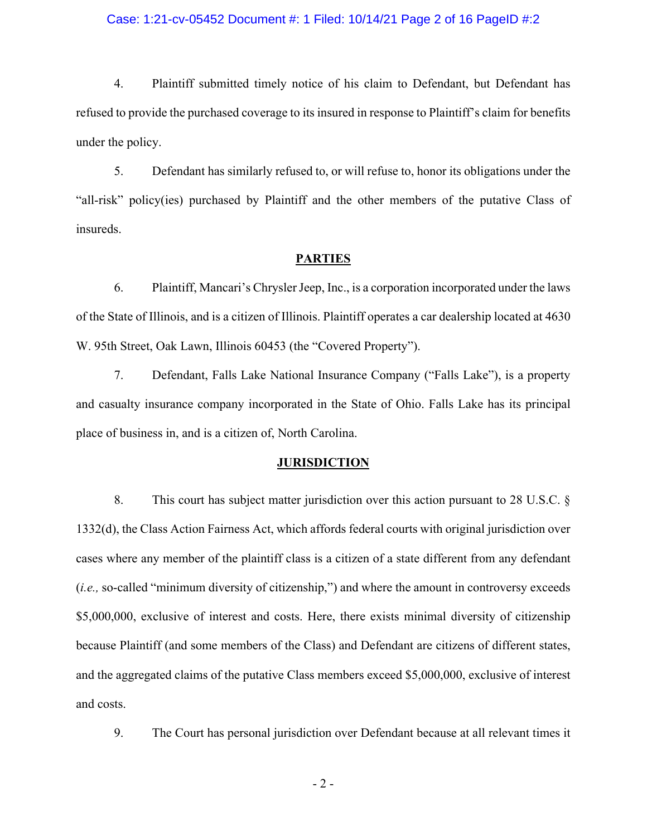#### Case: 1:21-cv-05452 Document #: 1 Filed: 10/14/21 Page 2 of 16 PageID #:2

4. Plaintiff submitted timely notice of his claim to Defendant, but Defendant has refused to provide the purchased coverage to its insured in response to Plaintiff's claim for benefits under the policy.

5. Defendant has similarly refused to, or will refuse to, honor its obligations under the "all-risk" policy(ies) purchased by Plaintiff and the other members of the putative Class of insureds.

#### **PARTIES**

6. Plaintiff, Mancari's Chrysler Jeep, Inc., is a corporation incorporated under the laws of the State of Illinois, and is a citizen of Illinois. Plaintiff operates a car dealership located at 4630 W. 95th Street, Oak Lawn, Illinois 60453 (the "Covered Property").

7. Defendant, Falls Lake National Insurance Company ("Falls Lake"), is a property and casualty insurance company incorporated in the State of Ohio. Falls Lake has its principal place of business in, and is a citizen of, North Carolina.

#### **JURISDICTION**

8. This court has subject matter jurisdiction over this action pursuant to 28 U.S.C. § 1332(d), the Class Action Fairness Act, which affords federal courts with original jurisdiction over cases where any member of the plaintiff class is a citizen of a state different from any defendant (*i.e.,* so-called "minimum diversity of citizenship,") and where the amount in controversy exceeds \$5,000,000, exclusive of interest and costs. Here, there exists minimal diversity of citizenship because Plaintiff (and some members of the Class) and Defendant are citizens of different states, and the aggregated claims of the putative Class members exceed \$5,000,000, exclusive of interest and costs.

9. The Court has personal jurisdiction over Defendant because at all relevant times it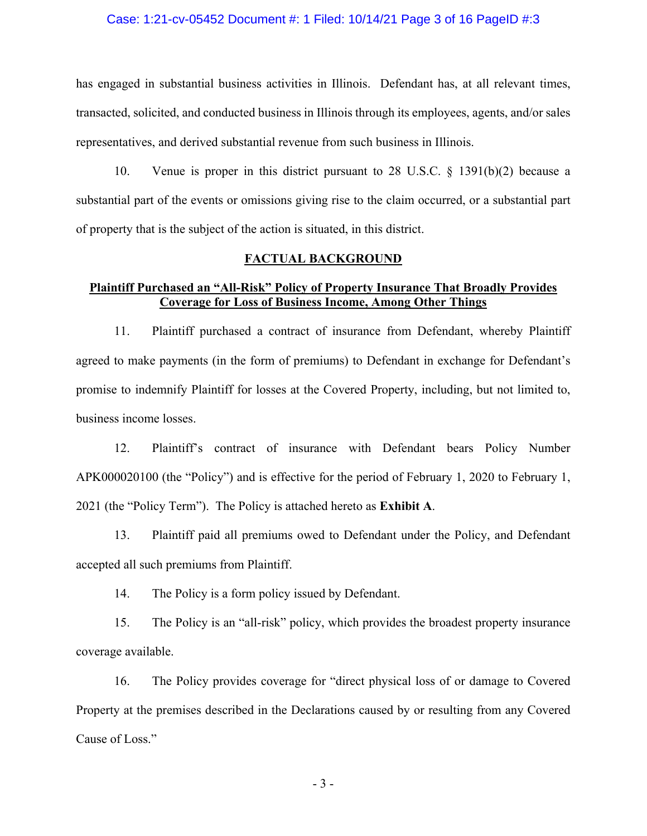#### Case: 1:21-cv-05452 Document #: 1 Filed: 10/14/21 Page 3 of 16 PageID #:3

has engaged in substantial business activities in Illinois. Defendant has, at all relevant times, transacted, solicited, and conducted business in Illinois through its employees, agents, and/or sales representatives, and derived substantial revenue from such business in Illinois.

10. Venue is proper in this district pursuant to 28 U.S.C. § 1391(b)(2) because a substantial part of the events or omissions giving rise to the claim occurred, or a substantial part of property that is the subject of the action is situated, in this district.

#### **FACTUAL BACKGROUND**

### **Plaintiff Purchased an "All-Risk" Policy of Property Insurance That Broadly Provides Coverage for Loss of Business Income, Among Other Things**

11. Plaintiff purchased a contract of insurance from Defendant, whereby Plaintiff agreed to make payments (in the form of premiums) to Defendant in exchange for Defendant's promise to indemnify Plaintiff for losses at the Covered Property, including, but not limited to, business income losses.

12. Plaintiff's contract of insurance with Defendant bears Policy Number APK000020100 (the "Policy") and is effective for the period of February 1, 2020 to February 1, 2021 (the "Policy Term"). The Policy is attached hereto as **Exhibit A**.

13. Plaintiff paid all premiums owed to Defendant under the Policy, and Defendant accepted all such premiums from Plaintiff.

14. The Policy is a form policy issued by Defendant.

15. The Policy is an "all-risk" policy, which provides the broadest property insurance coverage available.

16. The Policy provides coverage for "direct physical loss of or damage to Covered Property at the premises described in the Declarations caused by or resulting from any Covered Cause of Loss."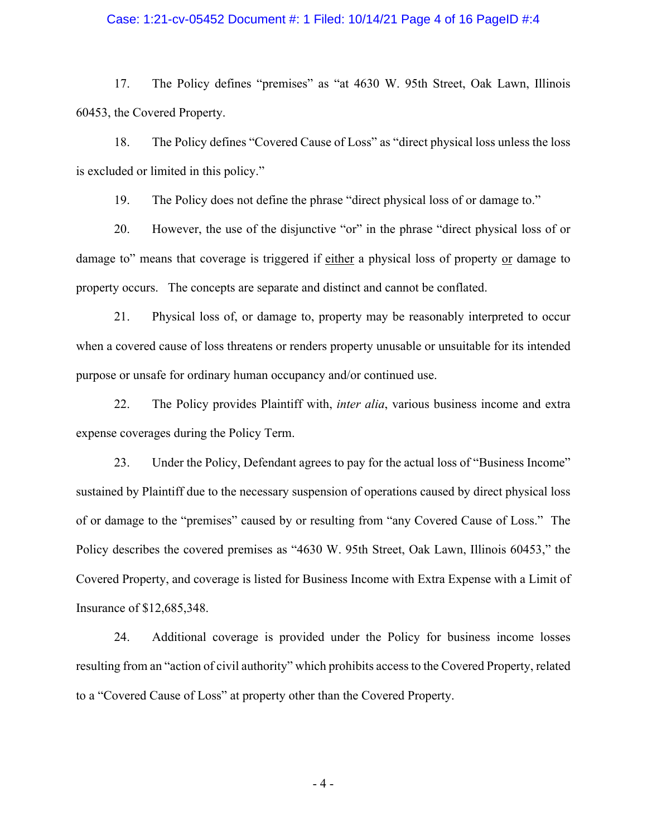#### Case: 1:21-cv-05452 Document #: 1 Filed: 10/14/21 Page 4 of 16 PageID #:4

17. The Policy defines "premises" as "at 4630 W. 95th Street, Oak Lawn, Illinois 60453, the Covered Property.

18. The Policy defines "Covered Cause of Loss" as "direct physical loss unless the loss is excluded or limited in this policy."

19. The Policy does not define the phrase "direct physical loss of or damage to."

20. However, the use of the disjunctive "or" in the phrase "direct physical loss of or damage to" means that coverage is triggered if either a physical loss of property or damage to property occurs. The concepts are separate and distinct and cannot be conflated.

21. Physical loss of, or damage to, property may be reasonably interpreted to occur when a covered cause of loss threatens or renders property unusable or unsuitable for its intended purpose or unsafe for ordinary human occupancy and/or continued use.

22. The Policy provides Plaintiff with, *inter alia*, various business income and extra expense coverages during the Policy Term.

23. Under the Policy, Defendant agrees to pay for the actual loss of "Business Income" sustained by Plaintiff due to the necessary suspension of operations caused by direct physical loss of or damage to the "premises" caused by or resulting from "any Covered Cause of Loss." The Policy describes the covered premises as "4630 W. 95th Street, Oak Lawn, Illinois 60453," the Covered Property, and coverage is listed for Business Income with Extra Expense with a Limit of Insurance of \$12,685,348.

24. Additional coverage is provided under the Policy for business income losses resulting from an "action of civil authority" which prohibits access to the Covered Property, related to a "Covered Cause of Loss" at property other than the Covered Property.

- 4 -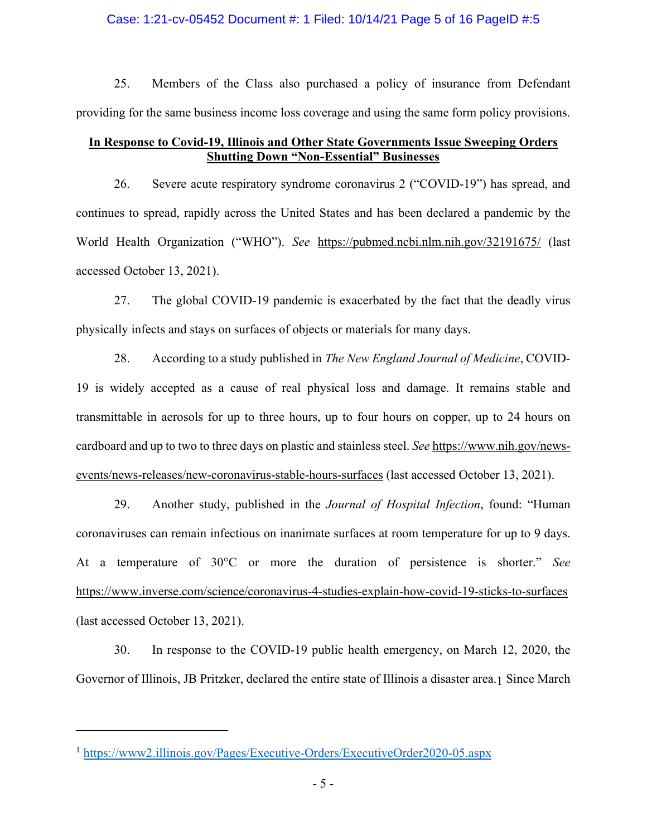#### Case: 1:21-cv-05452 Document #: 1 Filed: 10/14/21 Page 5 of 16 PageID #:5

25. Members of the Class also purchased a policy of insurance from Defendant providing for the same business income loss coverage and using the same form policy provisions.

### **In Response to Covid-19, Illinois and Other State Governments Issue Sweeping Orders Shutting Down "Non-Essential" Businesses**

26. Severe acute respiratory syndrome coronavirus 2 ("COVID-19") has spread, and continues to spread, rapidly across the United States and has been declared a pandemic by the World Health Organization ("WHO"). *See* https://pubmed.ncbi.nlm.nih.gov/32191675/ (last accessed October 13, 2021).

27. The global COVID-19 pandemic is exacerbated by the fact that the deadly virus physically infects and stays on surfaces of objects or materials for many days.

28. According to a study published in *The New England Journal of Medicine*, COVID-19 is widely accepted as a cause of real physical loss and damage. It remains stable and transmittable in aerosols for up to three hours, up to four hours on copper, up to 24 hours on cardboard and up to two to three days on plastic and stainless steel. *See* https://www.nih.gov/newsevents/news-releases/new-coronavirus-stable-hours-surfaces (last accessed October 13, 2021).

29. Another study, published in the *Journal of Hospital Infection*, found: "Human coronaviruses can remain infectious on inanimate surfaces at room temperature for up to 9 days. At a temperature of 30°C or more the duration of persistence is shorter." *See*  https://www.inverse.com/science/coronavirus-4-studies-explain-how-covid-19-sticks-to-surfaces (last accessed October 13, 2021).

30. In response to the COVID-19 public health emergency, on March 12, 2020, the Governor of Illinois, JB Pritzker, declared the entire state of Illinois a disaster area.1 Since March

<sup>1</sup> https://www2.illinois.gov/Pages/Executive-Orders/ExecutiveOrder2020-05.aspx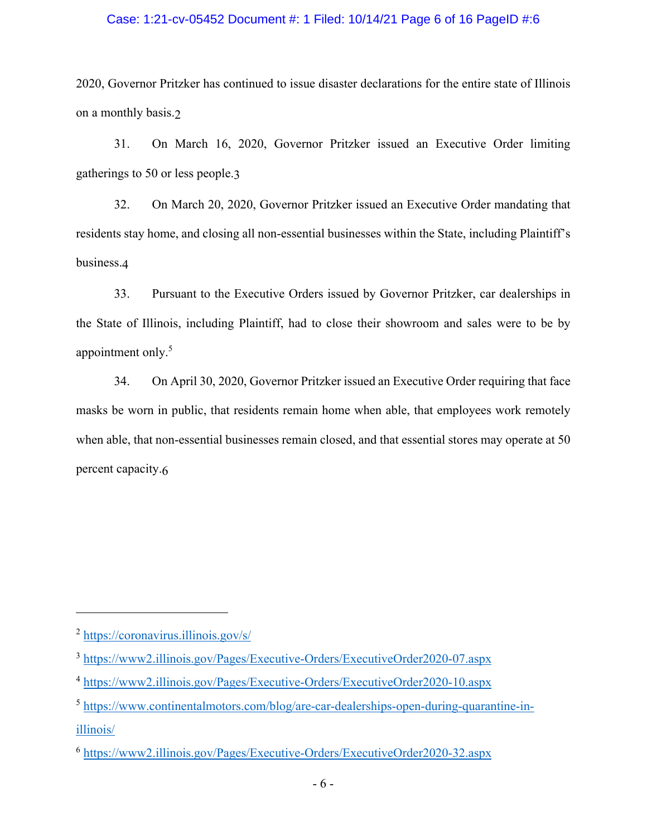#### Case: 1:21-cv-05452 Document #: 1 Filed: 10/14/21 Page 6 of 16 PageID #:6

2020, Governor Pritzker has continued to issue disaster declarations for the entire state of Illinois on a monthly basis.2

31. On March 16, 2020, Governor Pritzker issued an Executive Order limiting gatherings to 50 or less people.3

32. On March 20, 2020, Governor Pritzker issued an Executive Order mandating that residents stay home, and closing all non-essential businesses within the State, including Plaintiff's business.4

33. Pursuant to the Executive Orders issued by Governor Pritzker, car dealerships in the State of Illinois, including Plaintiff, had to close their showroom and sales were to be by appointment only.<sup>5</sup>

34. On April 30, 2020, Governor Pritzker issued an Executive Order requiring that face masks be worn in public, that residents remain home when able, that employees work remotely when able, that non-essential businesses remain closed, and that essential stores may operate at 50 percent capacity.6

<sup>2</sup> https://coronavirus.illinois.gov/s/

<sup>3</sup> https://www2.illinois.gov/Pages/Executive-Orders/ExecutiveOrder2020-07.aspx

<sup>4</sup> https://www2.illinois.gov/Pages/Executive-Orders/ExecutiveOrder2020-10.aspx

<sup>5</sup> https://www.continentalmotors.com/blog/are-car-dealerships-open-during-quarantine-inillinois/

<sup>6</sup> https://www2.illinois.gov/Pages/Executive-Orders/ExecutiveOrder2020-32.aspx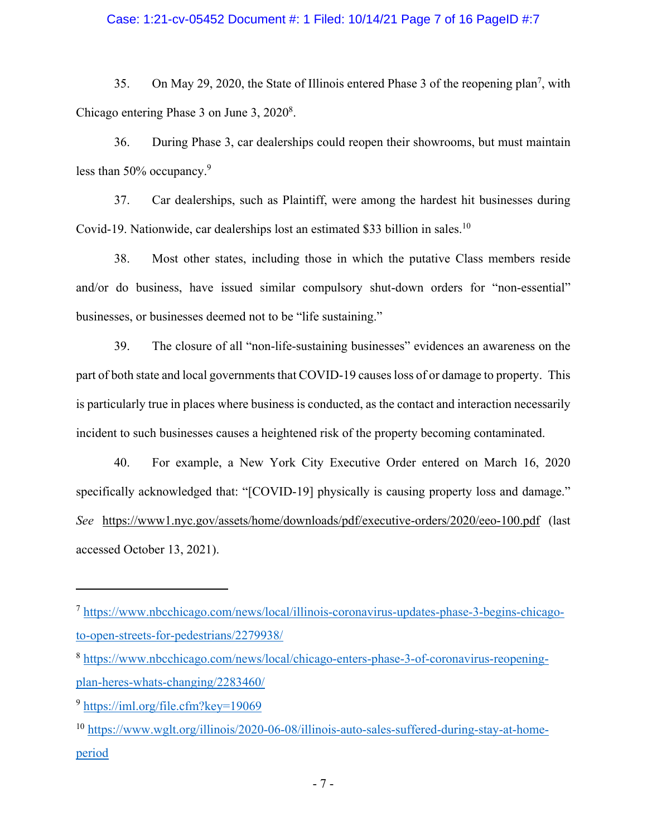## Case: 1:21-cv-05452 Document #: 1 Filed: 10/14/21 Page 7 of 16 PageID #:7

35. On May 29, 2020, the State of Illinois entered Phase 3 of the reopening plan<sup>7</sup>, with Chicago entering Phase 3 on June 3, 2020<sup>8</sup>.

36. During Phase 3, car dealerships could reopen their showrooms, but must maintain less than 50% occupancy.<sup>9</sup>

37. Car dealerships, such as Plaintiff, were among the hardest hit businesses during Covid-19. Nationwide, car dealerships lost an estimated \$33 billion in sales.<sup>10</sup>

38. Most other states, including those in which the putative Class members reside and/or do business, have issued similar compulsory shut-down orders for "non-essential" businesses, or businesses deemed not to be "life sustaining."

39. The closure of all "non-life-sustaining businesses" evidences an awareness on the part of both state and local governments that COVID-19 causes loss of or damage to property. This is particularly true in places where business is conducted, as the contact and interaction necessarily incident to such businesses causes a heightened risk of the property becoming contaminated.

40. For example, a New York City Executive Order entered on March 16, 2020 specifically acknowledged that: "[COVID-19] physically is causing property loss and damage." *See* https://www1.nyc.gov/assets/home/downloads/pdf/executive-orders/2020/eeo-100.pdf (last accessed October 13, 2021).

<sup>7</sup> https://www.nbcchicago.com/news/local/illinois-coronavirus-updates-phase-3-begins-chicagoto-open-streets-for-pedestrians/2279938/

<sup>8</sup> https://www.nbcchicago.com/news/local/chicago-enters-phase-3-of-coronavirus-reopeningplan-heres-whats-changing/2283460/

<sup>9</sup> https://iml.org/file.cfm?key=19069

<sup>10</sup> https://www.wglt.org/illinois/2020-06-08/illinois-auto-sales-suffered-during-stay-at-homeperiod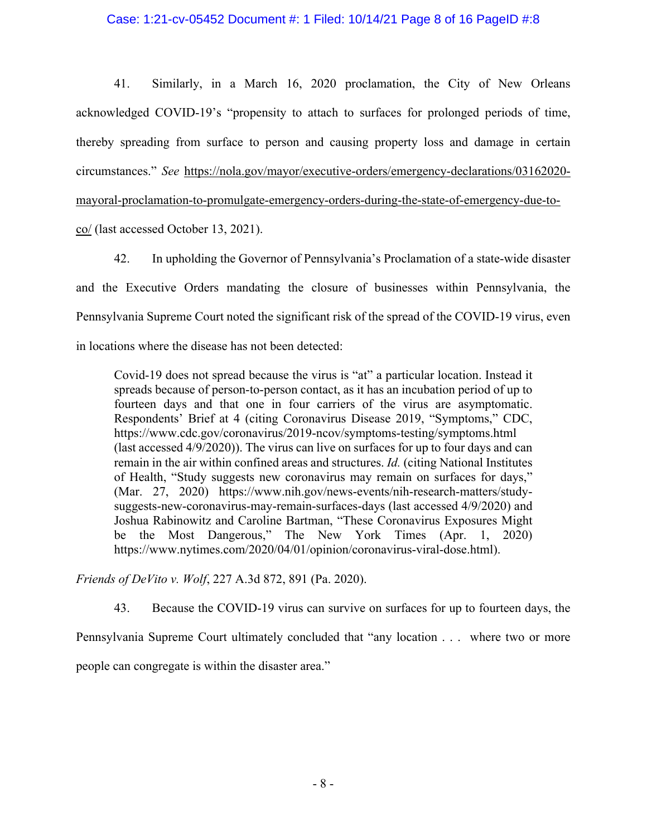#### Case: 1:21-cv-05452 Document #: 1 Filed: 10/14/21 Page 8 of 16 PageID #:8

41. Similarly, in a March 16, 2020 proclamation, the City of New Orleans acknowledged COVID-19's "propensity to attach to surfaces for prolonged periods of time, thereby spreading from surface to person and causing property loss and damage in certain circumstances." *See* https://nola.gov/mayor/executive-orders/emergency-declarations/03162020 mayoral-proclamation-to-promulgate-emergency-orders-during-the-state-of-emergency-due-to-

co/ (last accessed October 13, 2021).

42. In upholding the Governor of Pennsylvania's Proclamation of a state-wide disaster and the Executive Orders mandating the closure of businesses within Pennsylvania, the Pennsylvania Supreme Court noted the significant risk of the spread of the COVID-19 virus, even in locations where the disease has not been detected:

Covid-19 does not spread because the virus is "at" a particular location. Instead it spreads because of person-to-person contact, as it has an incubation period of up to fourteen days and that one in four carriers of the virus are asymptomatic. Respondents' Brief at 4 (citing Coronavirus Disease 2019, "Symptoms," CDC, https://www.cdc.gov/coronavirus/2019-ncov/symptoms-testing/symptoms.html (last accessed 4/9/2020)). The virus can live on surfaces for up to four days and can remain in the air within confined areas and structures. *Id.* (citing National Institutes of Health, "Study suggests new coronavirus may remain on surfaces for days," (Mar. 27, 2020) https://www.nih.gov/news-events/nih-research-matters/studysuggests-new-coronavirus-may-remain-surfaces-days (last accessed 4/9/2020) and Joshua Rabinowitz and Caroline Bartman, "These Coronavirus Exposures Might be the Most Dangerous," The New York Times (Apr. 1, 2020) https://www.nytimes.com/2020/04/01/opinion/coronavirus-viral-dose.html).

*Friends of DeVito v. Wolf*, 227 A.3d 872, 891 (Pa. 2020).

43. Because the COVID-19 virus can survive on surfaces for up to fourteen days, the

Pennsylvania Supreme Court ultimately concluded that "any location . . . where two or more people can congregate is within the disaster area."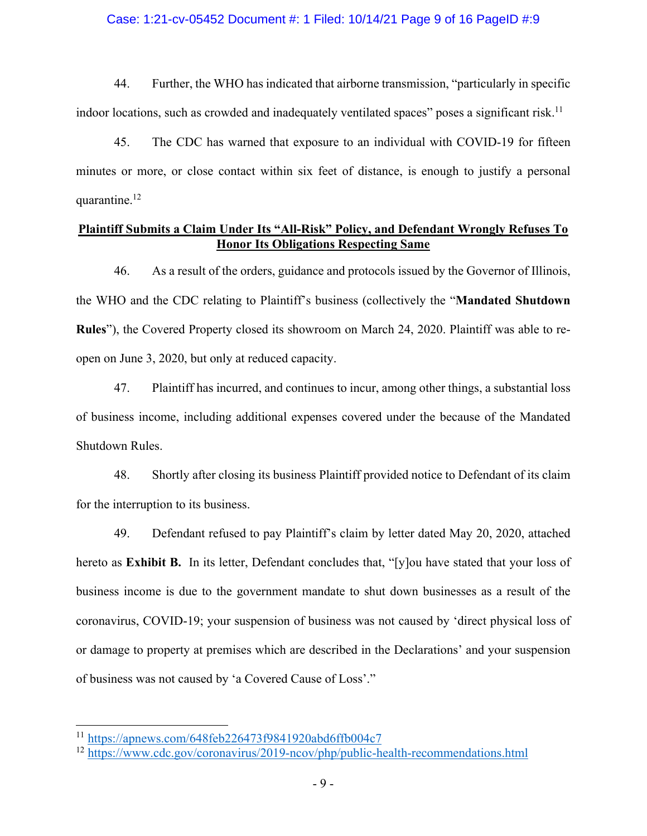#### Case: 1:21-cv-05452 Document #: 1 Filed: 10/14/21 Page 9 of 16 PageID #:9

44. Further, the WHO has indicated that airborne transmission, "particularly in specific indoor locations, such as crowded and inadequately ventilated spaces" poses a significant risk.<sup>11</sup>

45. The CDC has warned that exposure to an individual with COVID-19 for fifteen minutes or more, or close contact within six feet of distance, is enough to justify a personal quarantine.<sup>12</sup>

## **Plaintiff Submits a Claim Under Its "All-Risk" Policy, and Defendant Wrongly Refuses To Honor Its Obligations Respecting Same**

46. As a result of the orders, guidance and protocols issued by the Governor of Illinois, the WHO and the CDC relating to Plaintiff's business (collectively the "**Mandated Shutdown Rules**"), the Covered Property closed its showroom on March 24, 2020. Plaintiff was able to reopen on June 3, 2020, but only at reduced capacity.

47. Plaintiff has incurred, and continues to incur, among other things, a substantial loss of business income, including additional expenses covered under the because of the Mandated Shutdown Rules.

48. Shortly after closing its business Plaintiff provided notice to Defendant of its claim for the interruption to its business.

49. Defendant refused to pay Plaintiff's claim by letter dated May 20, 2020, attached hereto as **Exhibit B.** In its letter, Defendant concludes that, "[y]ou have stated that your loss of business income is due to the government mandate to shut down businesses as a result of the coronavirus, COVID-19; your suspension of business was not caused by 'direct physical loss of or damage to property at premises which are described in the Declarations' and your suspension of business was not caused by 'a Covered Cause of Loss'."

<sup>11</sup> https://apnews.com/648feb226473f9841920abd6ffb004c7

<sup>12</sup> https://www.cdc.gov/coronavirus/2019-ncov/php/public-health-recommendations.html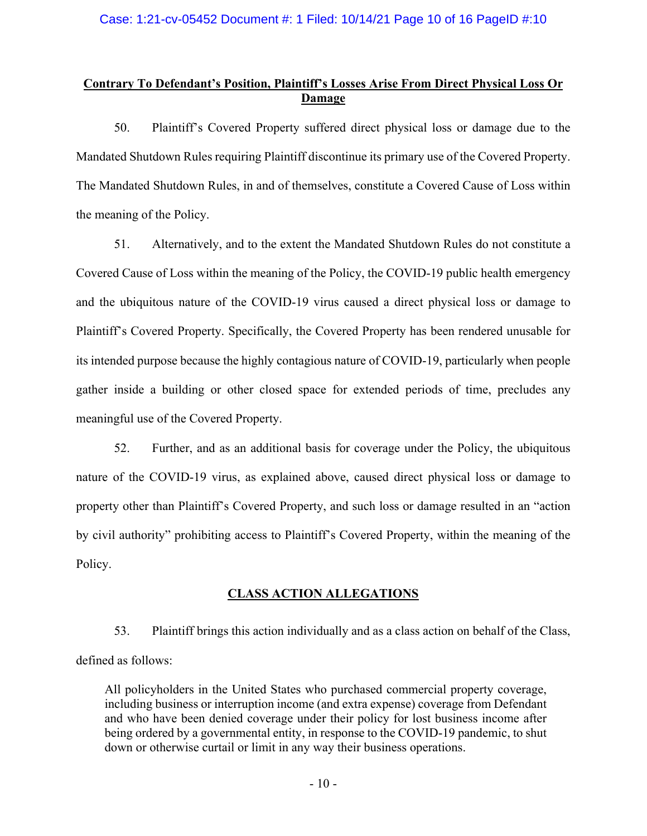## **Contrary To Defendant's Position, Plaintiff's Losses Arise From Direct Physical Loss Or Damage**

50. Plaintiff's Covered Property suffered direct physical loss or damage due to the Mandated Shutdown Rules requiring Plaintiff discontinue its primary use of the Covered Property. The Mandated Shutdown Rules, in and of themselves, constitute a Covered Cause of Loss within the meaning of the Policy.

51. Alternatively, and to the extent the Mandated Shutdown Rules do not constitute a Covered Cause of Loss within the meaning of the Policy, the COVID-19 public health emergency and the ubiquitous nature of the COVID-19 virus caused a direct physical loss or damage to Plaintiff's Covered Property. Specifically, the Covered Property has been rendered unusable for its intended purpose because the highly contagious nature of COVID-19, particularly when people gather inside a building or other closed space for extended periods of time, precludes any meaningful use of the Covered Property.

52. Further, and as an additional basis for coverage under the Policy, the ubiquitous nature of the COVID-19 virus, as explained above, caused direct physical loss or damage to property other than Plaintiff's Covered Property, and such loss or damage resulted in an "action by civil authority" prohibiting access to Plaintiff's Covered Property, within the meaning of the Policy.

## **CLASS ACTION ALLEGATIONS**

53. Plaintiff brings this action individually and as a class action on behalf of the Class, defined as follows:

All policyholders in the United States who purchased commercial property coverage, including business or interruption income (and extra expense) coverage from Defendant and who have been denied coverage under their policy for lost business income after being ordered by a governmental entity, in response to the COVID-19 pandemic, to shut down or otherwise curtail or limit in any way their business operations.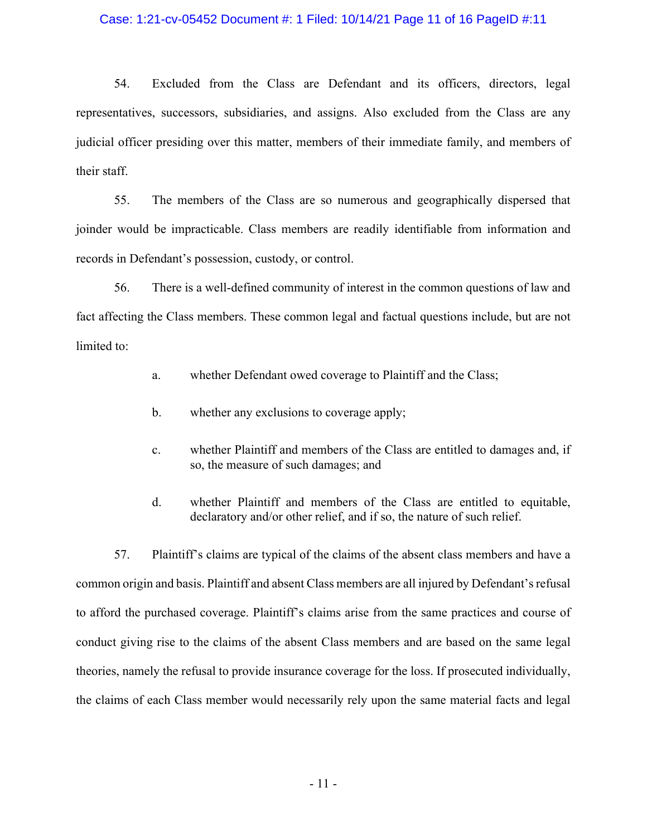#### Case: 1:21-cv-05452 Document #: 1 Filed: 10/14/21 Page 11 of 16 PageID #:11

54. Excluded from the Class are Defendant and its officers, directors, legal representatives, successors, subsidiaries, and assigns. Also excluded from the Class are any judicial officer presiding over this matter, members of their immediate family, and members of their staff.

55. The members of the Class are so numerous and geographically dispersed that joinder would be impracticable. Class members are readily identifiable from information and records in Defendant's possession, custody, or control.

56. There is a well-defined community of interest in the common questions of law and fact affecting the Class members. These common legal and factual questions include, but are not limited to:

- a. whether Defendant owed coverage to Plaintiff and the Class;
- b. whether any exclusions to coverage apply;
- c. whether Plaintiff and members of the Class are entitled to damages and, if so, the measure of such damages; and
- d. whether Plaintiff and members of the Class are entitled to equitable, declaratory and/or other relief, and if so, the nature of such relief.

57. Plaintiff's claims are typical of the claims of the absent class members and have a common origin and basis. Plaintiff and absent Class members are all injured by Defendant's refusal to afford the purchased coverage. Plaintiff's claims arise from the same practices and course of conduct giving rise to the claims of the absent Class members and are based on the same legal theories, namely the refusal to provide insurance coverage for the loss. If prosecuted individually, the claims of each Class member would necessarily rely upon the same material facts and legal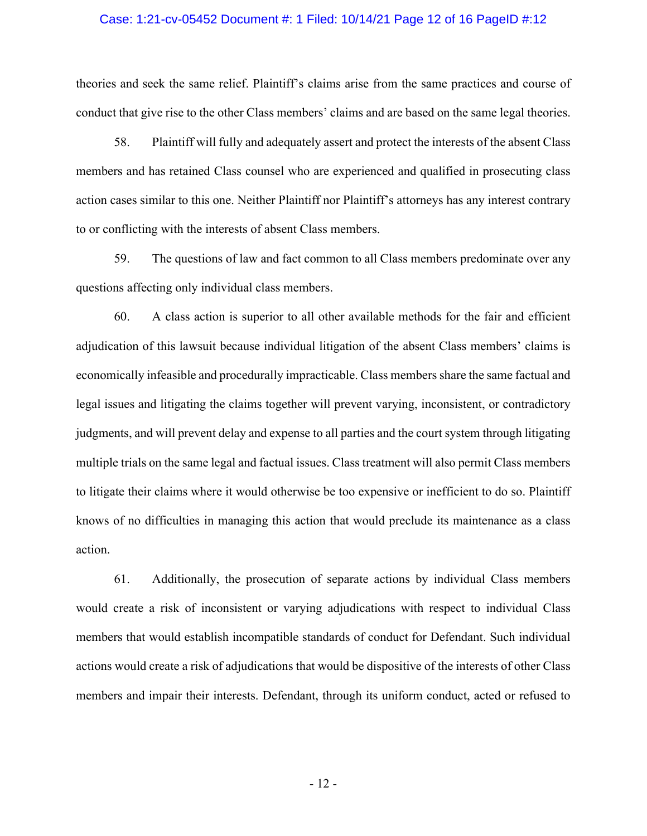#### Case: 1:21-cv-05452 Document #: 1 Filed: 10/14/21 Page 12 of 16 PageID #:12

theories and seek the same relief. Plaintiff's claims arise from the same practices and course of conduct that give rise to the other Class members' claims and are based on the same legal theories.

58. Plaintiff will fully and adequately assert and protect the interests of the absent Class members and has retained Class counsel who are experienced and qualified in prosecuting class action cases similar to this one. Neither Plaintiff nor Plaintiff's attorneys has any interest contrary to or conflicting with the interests of absent Class members.

59. The questions of law and fact common to all Class members predominate over any questions affecting only individual class members.

60. A class action is superior to all other available methods for the fair and efficient adjudication of this lawsuit because individual litigation of the absent Class members' claims is economically infeasible and procedurally impracticable. Class members share the same factual and legal issues and litigating the claims together will prevent varying, inconsistent, or contradictory judgments, and will prevent delay and expense to all parties and the court system through litigating multiple trials on the same legal and factual issues. Class treatment will also permit Class members to litigate their claims where it would otherwise be too expensive or inefficient to do so. Plaintiff knows of no difficulties in managing this action that would preclude its maintenance as a class action.

61. Additionally, the prosecution of separate actions by individual Class members would create a risk of inconsistent or varying adjudications with respect to individual Class members that would establish incompatible standards of conduct for Defendant. Such individual actions would create a risk of adjudications that would be dispositive of the interests of other Class members and impair their interests. Defendant, through its uniform conduct, acted or refused to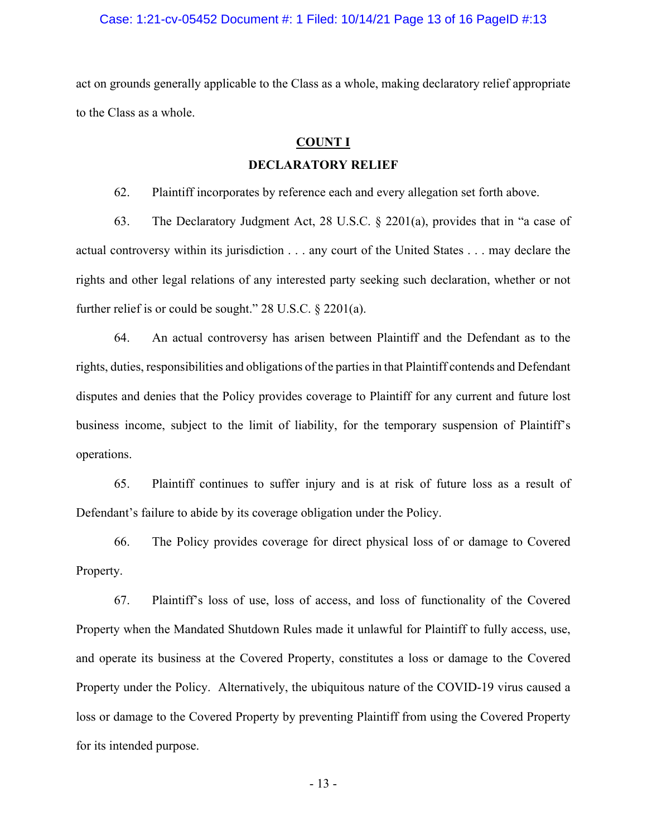#### Case: 1:21-cv-05452 Document #: 1 Filed: 10/14/21 Page 13 of 16 PageID #:13

act on grounds generally applicable to the Class as a whole, making declaratory relief appropriate to the Class as a whole.

#### **COUNT I**

#### **DECLARATORY RELIEF**

62. Plaintiff incorporates by reference each and every allegation set forth above.

63. The Declaratory Judgment Act, 28 U.S.C. § 2201(a), provides that in "a case of actual controversy within its jurisdiction . . . any court of the United States . . . may declare the rights and other legal relations of any interested party seeking such declaration, whether or not further relief is or could be sought." 28 U.S.C. § 2201(a).

64. An actual controversy has arisen between Plaintiff and the Defendant as to the rights, duties, responsibilities and obligations of the parties in that Plaintiff contends and Defendant disputes and denies that the Policy provides coverage to Plaintiff for any current and future lost business income, subject to the limit of liability, for the temporary suspension of Plaintiff's operations.

65. Plaintiff continues to suffer injury and is at risk of future loss as a result of Defendant's failure to abide by its coverage obligation under the Policy.

66. The Policy provides coverage for direct physical loss of or damage to Covered Property.

67. Plaintiff's loss of use, loss of access, and loss of functionality of the Covered Property when the Mandated Shutdown Rules made it unlawful for Plaintiff to fully access, use, and operate its business at the Covered Property, constitutes a loss or damage to the Covered Property under the Policy. Alternatively, the ubiquitous nature of the COVID-19 virus caused a loss or damage to the Covered Property by preventing Plaintiff from using the Covered Property for its intended purpose.

- 13 -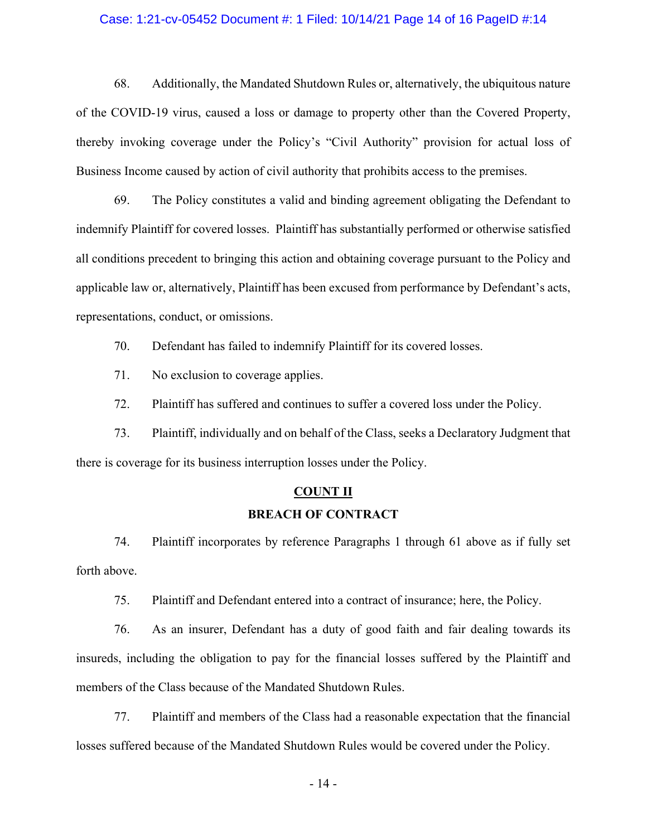#### Case: 1:21-cv-05452 Document #: 1 Filed: 10/14/21 Page 14 of 16 PageID #:14

68. Additionally, the Mandated Shutdown Rules or, alternatively, the ubiquitous nature of the COVID-19 virus, caused a loss or damage to property other than the Covered Property, thereby invoking coverage under the Policy's "Civil Authority" provision for actual loss of Business Income caused by action of civil authority that prohibits access to the premises.

69. The Policy constitutes a valid and binding agreement obligating the Defendant to indemnify Plaintiff for covered losses. Plaintiff has substantially performed or otherwise satisfied all conditions precedent to bringing this action and obtaining coverage pursuant to the Policy and applicable law or, alternatively, Plaintiff has been excused from performance by Defendant's acts, representations, conduct, or omissions.

70. Defendant has failed to indemnify Plaintiff for its covered losses.

71. No exclusion to coverage applies.

72. Plaintiff has suffered and continues to suffer a covered loss under the Policy.

73. Plaintiff, individually and on behalf of the Class, seeks a Declaratory Judgment that there is coverage for its business interruption losses under the Policy.

# **COUNT II BREACH OF CONTRACT**

74. Plaintiff incorporates by reference Paragraphs 1 through 61 above as if fully set forth above.

75. Plaintiff and Defendant entered into a contract of insurance; here, the Policy.

76. As an insurer, Defendant has a duty of good faith and fair dealing towards its insureds, including the obligation to pay for the financial losses suffered by the Plaintiff and members of the Class because of the Mandated Shutdown Rules.

77. Plaintiff and members of the Class had a reasonable expectation that the financial losses suffered because of the Mandated Shutdown Rules would be covered under the Policy.

- 14 -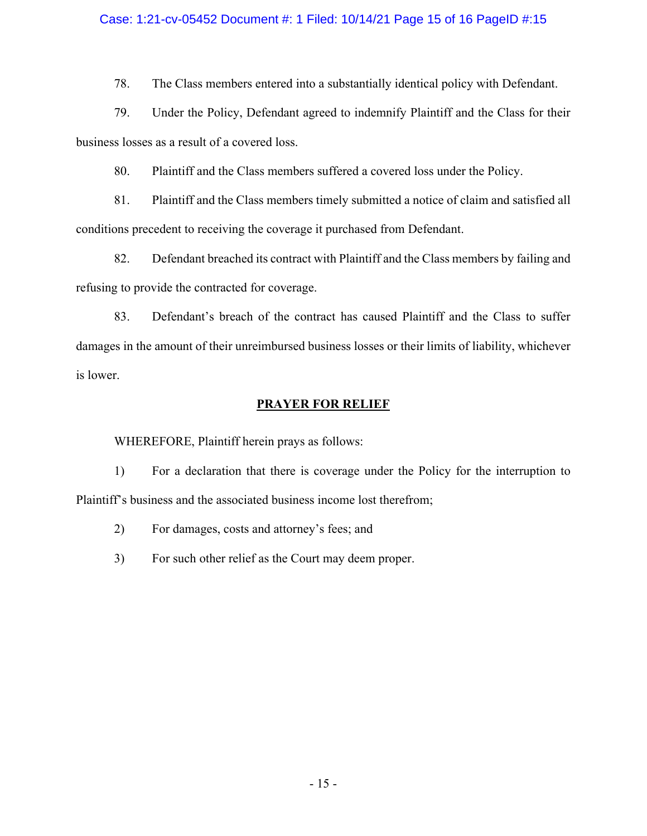#### Case: 1:21-cv-05452 Document #: 1 Filed: 10/14/21 Page 15 of 16 PageID #:15

78. The Class members entered into a substantially identical policy with Defendant.

79. Under the Policy, Defendant agreed to indemnify Plaintiff and the Class for their business losses as a result of a covered loss.

80. Plaintiff and the Class members suffered a covered loss under the Policy.

81. Plaintiff and the Class members timely submitted a notice of claim and satisfied all conditions precedent to receiving the coverage it purchased from Defendant.

82. Defendant breached its contract with Plaintiff and the Class members by failing and refusing to provide the contracted for coverage.

83. Defendant's breach of the contract has caused Plaintiff and the Class to suffer damages in the amount of their unreimbursed business losses or their limits of liability, whichever is lower.

#### **PRAYER FOR RELIEF**

WHEREFORE, Plaintiff herein prays as follows:

1) For a declaration that there is coverage under the Policy for the interruption to Plaintiff's business and the associated business income lost therefrom;

- 2) For damages, costs and attorney's fees; and
- 3) For such other relief as the Court may deem proper.